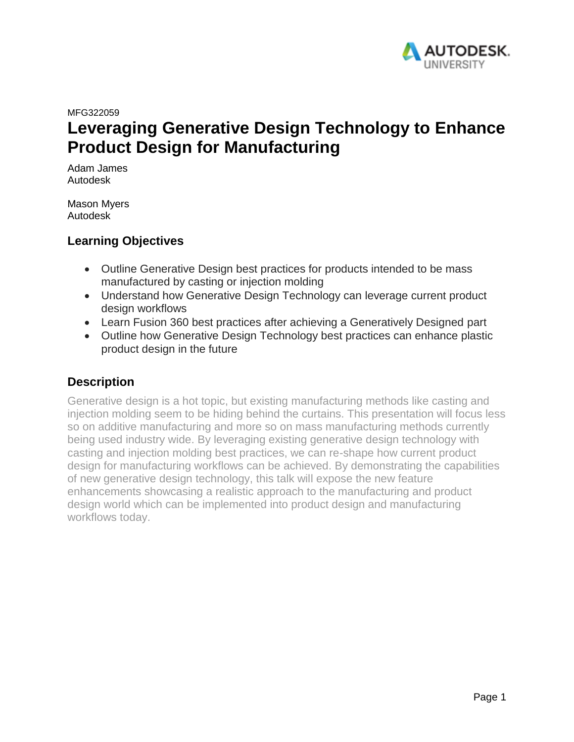

MFG322059

# **Leveraging Generative Design Technology to Enhance Product Design for Manufacturing**

Adam James Autodesk

Mason Myers Autodesk

# **Learning Objectives**

- Outline Generative Design best practices for products intended to be mass manufactured by casting or injection molding
- Understand how Generative Design Technology can leverage current product design workflows
- Learn Fusion 360 best practices after achieving a Generatively Designed part
- Outline how Generative Design Technology best practices can enhance plastic product design in the future

# **Description**

Generative design is a hot topic, but existing manufacturing methods like casting and injection molding seem to be hiding behind the curtains. This presentation will focus less so on additive manufacturing and more so on mass manufacturing methods currently being used industry wide. By leveraging existing generative design technology with casting and injection molding best practices, we can re-shape how current product design for manufacturing workflows can be achieved. By demonstrating the capabilities of new generative design technology, this talk will expose the new feature enhancements showcasing a realistic approach to the manufacturing and product design world which can be implemented into product design and manufacturing workflows today.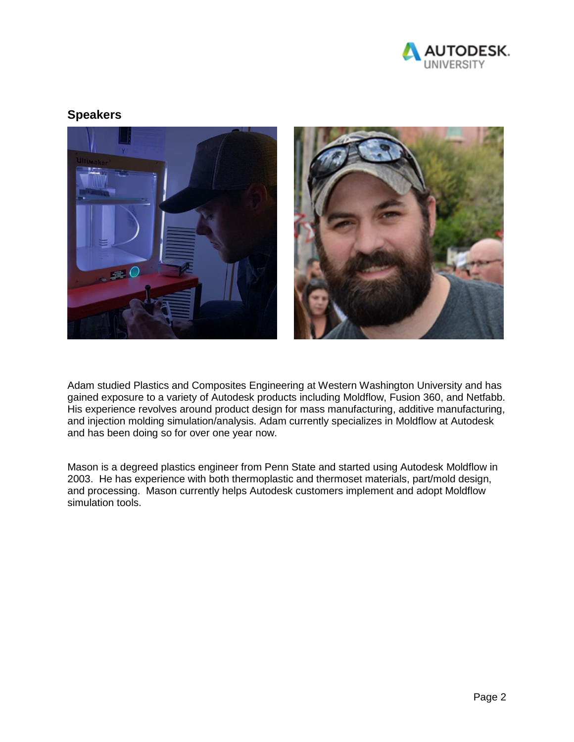

## **Speakers**



Adam studied Plastics and Composites Engineering at Western Washington University and has gained exposure to a variety of Autodesk products including Moldflow, Fusion 360, and Netfabb. His experience revolves around product design for mass manufacturing, additive manufacturing, and injection molding simulation/analysis. Adam currently specializes in Moldflow at Autodesk and has been doing so for over one year now.

Mason is a degreed plastics engineer from Penn State and started using Autodesk Moldflow in 2003. He has experience with both thermoplastic and thermoset materials, part/mold design, and processing. Mason currently helps Autodesk customers implement and adopt Moldflow simulation tools.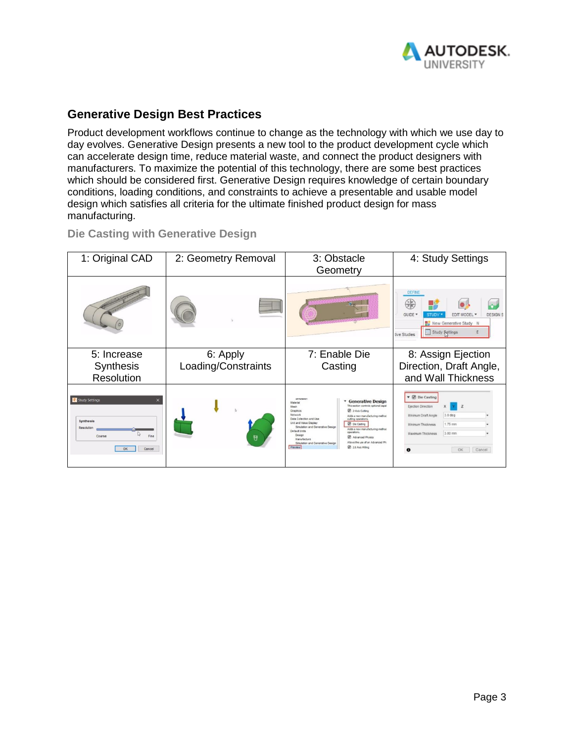

# **Generative Design Best Practices**

Product development workflows continue to change as the technology with which we use day to day evolves. Generative Design presents a new tool to the product development cycle which can accelerate design time, reduce material waste, and connect the product designers with manufacturers. To maximize the potential of this technology, there are some best practices which should be considered first. Generative Design requires knowledge of certain boundary conditions, loading conditions, and constraints to achieve a presentable and usable model design which satisfies all criteria for the ultimate finished product design for mass manufacturing.

### **Die Casting with Generative Design**

| 1: Original CAD                                                                    | 2: Geometry Removal | 3: Obstacle<br>Geometry                                                                                                                                                                                                                                                                                                                                                                                                                                                                                                                          | 4: Study Settings                                                                                                                                            |
|------------------------------------------------------------------------------------|---------------------|--------------------------------------------------------------------------------------------------------------------------------------------------------------------------------------------------------------------------------------------------------------------------------------------------------------------------------------------------------------------------------------------------------------------------------------------------------------------------------------------------------------------------------------------------|--------------------------------------------------------------------------------------------------------------------------------------------------------------|
|                                                                                    |                     |                                                                                                                                                                                                                                                                                                                                                                                                                                                                                                                                                  | <b>DEFINE</b><br>₩k<br><b>GUIDE</b><br><b>DESIGNS</b><br><b>EDIT MODEL</b><br>New Generative Study N<br>E Study Settings<br>tive Studies                     |
| 5: Increase                                                                        | 6: Apply            | 7: Enable Die                                                                                                                                                                                                                                                                                                                                                                                                                                                                                                                                    | 8: Assign Ejection                                                                                                                                           |
| Synthesis                                                                          | Loading/Constraints | Casting                                                                                                                                                                                                                                                                                                                                                                                                                                                                                                                                          | Direction, Draft Angle,                                                                                                                                      |
| Resolution                                                                         |                     |                                                                                                                                                                                                                                                                                                                                                                                                                                                                                                                                                  | and Wall Thickness                                                                                                                                           |
| Study Settings<br><b>Synthesis</b><br>Resolution<br>Fine<br>Coarse<br>OK<br>Cancel | Ħ                   | ORIGINAL<br><b>Generative Design</b><br>Material<br>This section controls optional capal<br>Mesh<br>2-Axis Cutting<br>Graphics<br>Network<br>Adds a new manufacturing method<br>Data Collection and Use<br>cutting operations.<br>Unit and Value Display<br><b>Die Casting</b><br>Simulation and Generative Design<br>Adds a new manufacturing method<br>Default Units<br>operations.<br>Design<br>Advanced Physics<br>Manufacture<br>Allows the use of an Advanced Phy<br>Simulation and Generative Design<br>2.5 Avis Miling<br><b>Preview</b> | ▼ Ø Die Casting<br>Eiection Direction<br>3.0 deg<br>Minimum Draft Angle<br>1.75 mm<br>Minimum Thickness<br>3.00 mm<br>Maximum Thickness<br>Cancel<br>OK<br>A |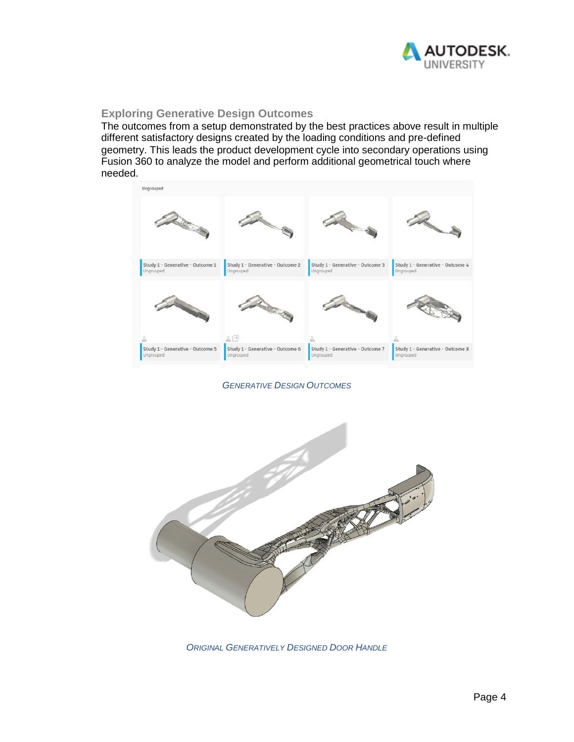

#### **Exploring Generative Design Outcomes**

The outcomes from a setup demonstrated by the best practices above result in multiple different satisfactory designs created by the loading conditions and pre-defined geometry. This leads the product development cycle into secondary operations using Fusion 360 to analyze the model and perform additional geometrical touch where needed.



*GENERATIVE DESIGN OUTCOMES*



*ORIGINAL GENERATIVELY DESIGNED DOOR HANDLE*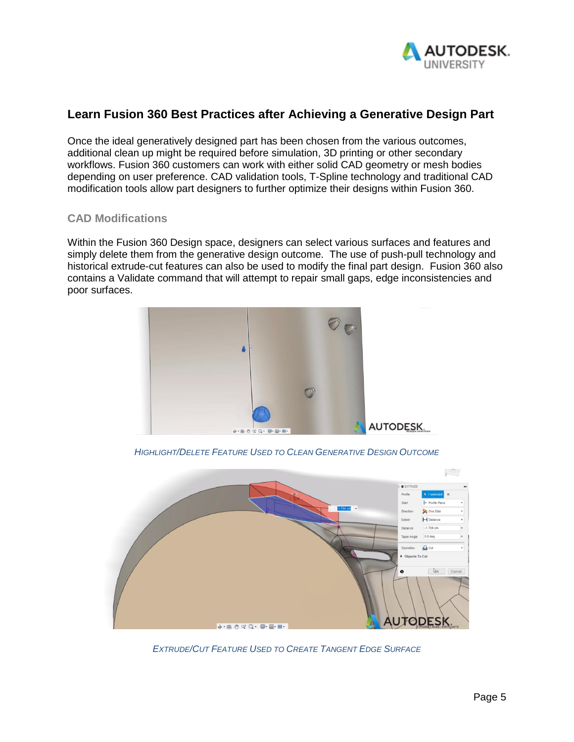

# **Learn Fusion 360 Best Practices after Achieving a Generative Design Part**

Once the ideal generatively designed part has been chosen from the various outcomes, additional clean up might be required before simulation, 3D printing or other secondary workflows. Fusion 360 customers can work with either solid CAD geometry or mesh bodies depending on user preference. CAD validation tools, T-Spline technology and traditional CAD modification tools allow part designers to further optimize their designs within Fusion 360.

#### **CAD Modifications**

Within the Fusion 360 Design space, designers can select various surfaces and features and simply delete them from the generative design outcome. The use of push-pull technology and historical extrude-cut features can also be used to modify the final part design. Fusion 360 also contains a Validate command that will attempt to repair small gaps, edge inconsistencies and poor surfaces.



*HIGHLIGHT/DELETE FEATURE USED TO CLEAN GENERATIVE DESIGN OUTCOME*



*EXTRUDE/CUT FEATURE USED TO CREATE TANGENT EDGE SURFACE*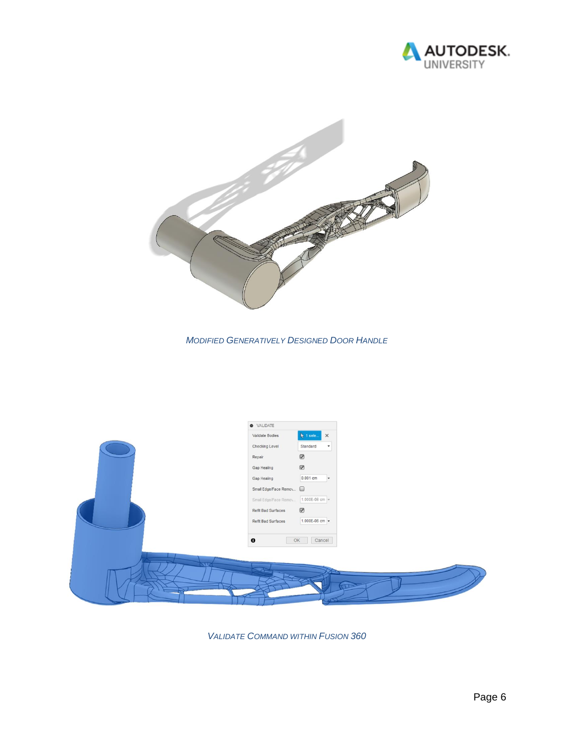



*MODIFIED GENERATIVELY DESIGNED DOOR HANDLE*



*VALIDATE COMMAND WITHIN FUSION 360*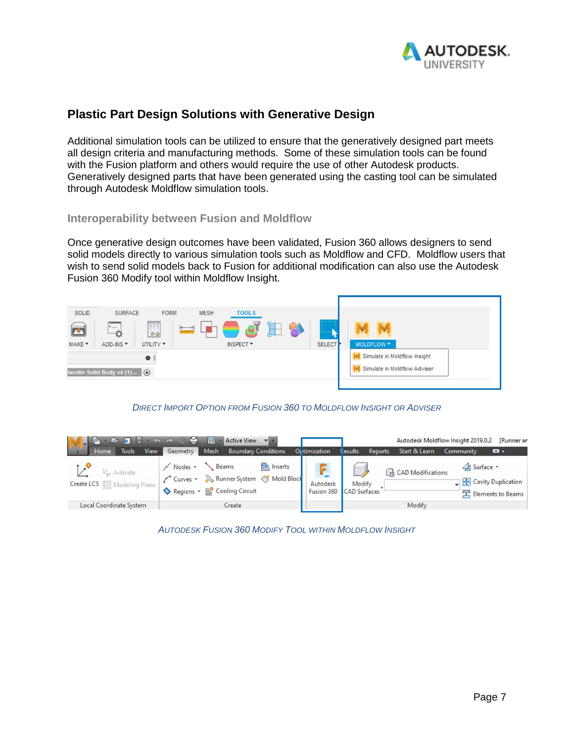

# **Plastic Part Design Solutions with Generative Design**

Additional simulation tools can be utilized to ensure that the generatively designed part meets all design criteria and manufacturing methods. Some of these simulation tools can be found with the Fusion platform and others would require the use of other Autodesk products. Generatively designed parts that have been generated using the casting tool can be simulated through Autodesk Moldflow simulation tools.

#### **Interoperability between Fusion and Moldflow**

Once generative design outcomes have been validated, Fusion 360 allows designers to send solid models directly to various simulation tools such as Moldflow and CFD. Moldflow users that wish to send solid models back to Fusion for additional modification can also use the Autodesk Fusion 360 Modify tool within Moldflow Insight.



#### *DIRECT IMPORT OPTION FROM FUSION 360 TO MOLDFLOW INSIGHT OR ADVISER*



*AUTODESK FUSION 360 MODIFY TOOL WITHIN MOLDFLOW INSIGHT*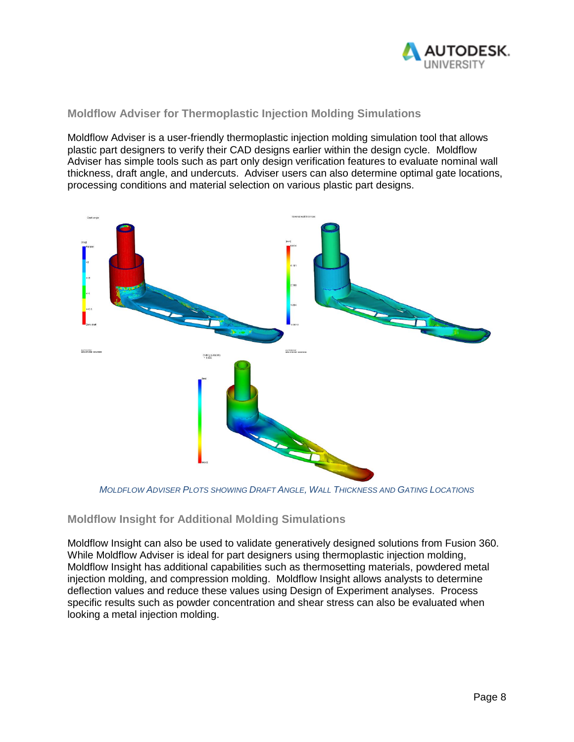

### **Moldflow Adviser for Thermoplastic Injection Molding Simulations**

Moldflow Adviser is a user-friendly thermoplastic injection molding simulation tool that allows plastic part designers to verify their CAD designs earlier within the design cycle. Moldflow Adviser has simple tools such as part only design verification features to evaluate nominal wall thickness, draft angle, and undercuts. Adviser users can also determine optimal gate locations, processing conditions and material selection on various plastic part designs.



*MOLDFLOW ADVISER PLOTS SHOWING DRAFT ANGLE, WALL THICKNESS AND GATING LOCATIONS*

#### **Moldflow Insight for Additional Molding Simulations**

Moldflow Insight can also be used to validate generatively designed solutions from Fusion 360. While Moldflow Adviser is ideal for part designers using thermoplastic injection molding, Moldflow Insight has additional capabilities such as thermosetting materials, powdered metal injection molding, and compression molding. Moldflow Insight allows analysts to determine deflection values and reduce these values using Design of Experiment analyses. Process specific results such as powder concentration and shear stress can also be evaluated when looking a metal injection molding.